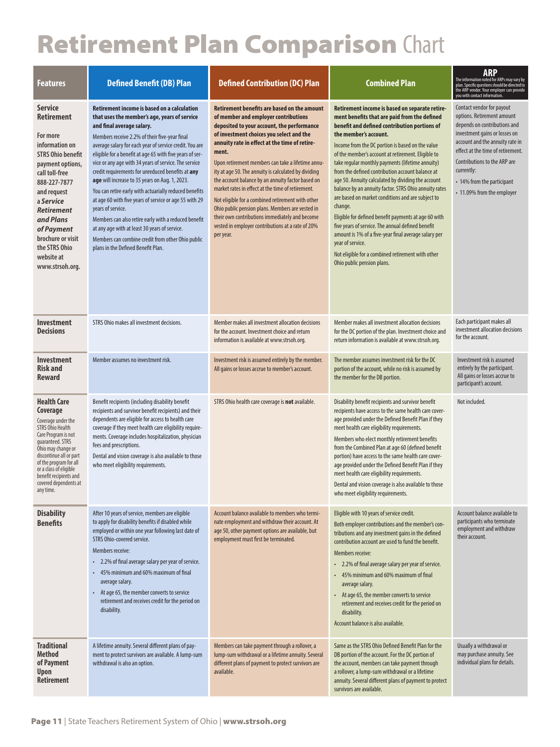## Retirement Plan Comparison Chart

| <b>Features</b>                                                                                                                                                                                                                                                                                        | <b>Defined Benefit (DB) Plan</b>                                                                                                                                                                                                                                                                                                                                                                                                                                                                                                                                                                                                                                                                                                                                                                                     | <b>Defined Contribution (DC) Plan</b>                                                                                                                                                                                                                                                                                                                                                                                                                                                                                                                                                                                                                                                              | <b>Combined Plan</b>                                                                                                                                                                                                                                                                                                                                                                                                                                                                                                                                                                                                                                                                                                                                                                                                                                 | <b>ARP</b><br>The information noted for ARPs may vary by<br>plan. Specific questions should be directed to<br>the ARP vendor. Your employer can provide<br>you with contact information.                                                                                                                          |
|--------------------------------------------------------------------------------------------------------------------------------------------------------------------------------------------------------------------------------------------------------------------------------------------------------|----------------------------------------------------------------------------------------------------------------------------------------------------------------------------------------------------------------------------------------------------------------------------------------------------------------------------------------------------------------------------------------------------------------------------------------------------------------------------------------------------------------------------------------------------------------------------------------------------------------------------------------------------------------------------------------------------------------------------------------------------------------------------------------------------------------------|----------------------------------------------------------------------------------------------------------------------------------------------------------------------------------------------------------------------------------------------------------------------------------------------------------------------------------------------------------------------------------------------------------------------------------------------------------------------------------------------------------------------------------------------------------------------------------------------------------------------------------------------------------------------------------------------------|------------------------------------------------------------------------------------------------------------------------------------------------------------------------------------------------------------------------------------------------------------------------------------------------------------------------------------------------------------------------------------------------------------------------------------------------------------------------------------------------------------------------------------------------------------------------------------------------------------------------------------------------------------------------------------------------------------------------------------------------------------------------------------------------------------------------------------------------------|-------------------------------------------------------------------------------------------------------------------------------------------------------------------------------------------------------------------------------------------------------------------------------------------------------------------|
| <b>Service</b><br><b>Retirement</b><br>For more<br>information on<br><b>STRS Ohio benefit</b><br>payment options,<br>call toll-free<br>888-227-7877<br>and request<br>a Service<br><b>Retirement</b><br>and Plans<br>of Payment<br>brochure or visit<br>the STRS Ohio<br>website at<br>www.strsoh.org. | <b>Retirement income is based on a calculation</b><br>that uses the member's age, years of service<br>and final average salary.<br>Members receive 2.2% of their five-year final<br>average salary for each year of service credit. You are<br>eligible for a benefit at age 65 with five years of ser-<br>vice or any age with 34 years of service. The service<br>credit requirements for unreduced benefits at any<br>age will increase to 35 years on Aug. 1, 2023.<br>You can retire early with actuarially reduced benefits<br>at age 60 with five years of service or age 55 with 29<br>years of service.<br>Members can also retire early with a reduced benefit<br>at any age with at least 30 years of service.<br>Members can combine credit from other Ohio public<br>plans in the Defined Benefit Plan. | <b>Retirement benefits are based on the amount</b><br>of member and employer contributions<br>deposited to your account, the performance<br>of investment choices you select and the<br>annuity rate in effect at the time of retire-<br>ment.<br>Upon retirement members can take a lifetime annu-<br>ity at age 50. The annuity is calculated by dividing<br>the account balance by an annuity factor based on<br>market rates in effect at the time of retirement.<br>Not eligible for a combined retirement with other<br>Ohio public pension plans. Members are vested in<br>their own contributions immediately and become<br>vested in employer contributions at a rate of 20%<br>per year. | Retirement income is based on separate retire-<br>ment benefits that are paid from the defined<br>benefit and defined contribution portions of<br>the member's account.<br>Income from the DC portion is based on the value<br>of the member's account at retirement. Eligible to<br>take regular monthly payments (lifetime annuity)<br>from the defined contribution account balance at<br>age 50. Annuity calculated by dividing the account<br>balance by an annuity factor. STRS Ohio annuity rates<br>are based on market conditions and are subject to<br>change.<br>Eligible for defined benefit payments at age 60 with<br>five years of service. The annual defined benefit<br>amount is 1% of a five-year final average salary per<br>year of service.<br>Not eligible for a combined retirement with other<br>Ohio public pension plans. | Contact vendor for payout<br>options. Retirement amount<br>depends on contributions and<br>investment gains or losses on<br>account and the annuity rate in<br>effect at the time of retirement.<br><b>Contributions to the ARP are</b><br>currently:<br>• 14% from the participant<br>• 11.09% from the employer |
| Investment<br><b>Decisions</b>                                                                                                                                                                                                                                                                         | STRS Ohio makes all investment decisions.                                                                                                                                                                                                                                                                                                                                                                                                                                                                                                                                                                                                                                                                                                                                                                            | Member makes all investment allocation decisions<br>for the account. Investment choice and return<br>information is available at www.strsoh.org.                                                                                                                                                                                                                                                                                                                                                                                                                                                                                                                                                   | Member makes all investment allocation decisions<br>for the DC portion of the plan. Investment choice and<br>return information is available at www.strsoh.org.                                                                                                                                                                                                                                                                                                                                                                                                                                                                                                                                                                                                                                                                                      | Each participant makes all<br>investment allocation decisions<br>for the account.                                                                                                                                                                                                                                 |
| <b>Investment</b><br><b>Risk and</b><br><b>Reward</b>                                                                                                                                                                                                                                                  | Member assumes no investment risk.                                                                                                                                                                                                                                                                                                                                                                                                                                                                                                                                                                                                                                                                                                                                                                                   | Investment risk is assumed entirely by the member.<br>All gains or losses accrue to member's account.                                                                                                                                                                                                                                                                                                                                                                                                                                                                                                                                                                                              | The member assumes investment risk for the DC<br>portion of the account, while no risk is assumed by<br>the member for the DB portion.                                                                                                                                                                                                                                                                                                                                                                                                                                                                                                                                                                                                                                                                                                               | Investment risk is assumed<br>entirely by the participant.<br>All gains or losses accrue to<br>participant's account.                                                                                                                                                                                             |
| <b>Health Care</b><br>Coverage<br>Coverage under the<br><b>STRS Ohio Health</b><br>Care Program is not<br>quaranteed. STRS<br>Ohio may change or<br>discontinue all or part<br>of the program for all<br>or a class of eligible<br>benefit recipients and<br>covered dependents at<br>any time.        | Benefit recipients (including disability benefit<br>recipients and survivor benefit recipients) and their<br>dependents are eligible for access to health care<br>coverage if they meet health care eligibility require-<br>ments. Coverage includes hospitalization, physician<br>fees and prescriptions.<br>Dental and vision coverage is also available to those<br>who meet eligibility requirements.                                                                                                                                                                                                                                                                                                                                                                                                            | STRS Ohio health care coverage is not available.                                                                                                                                                                                                                                                                                                                                                                                                                                                                                                                                                                                                                                                   | Disability benefit recipients and survivor benefit<br>recipients have access to the same health care cover-<br>age provided under the Defined Benefit Plan if they<br>meet health care eligibility requirements.<br>Members who elect monthly retirement benefits<br>from the Combined Plan at age 60 (defined benefit<br>portion) have access to the same health care cover-<br>age provided under the Defined Benefit Plan if they<br>meet health care eligibility requirements.<br>Dental and vision coverage is also available to those<br>who meet eligibility requirements.                                                                                                                                                                                                                                                                    | Not included.                                                                                                                                                                                                                                                                                                     |
| <b>Disability</b><br><b>Benefits</b>                                                                                                                                                                                                                                                                   | After 10 years of service, members are eligible<br>to apply for disability benefits if disabled while<br>employed or within one year following last date of<br>STRS Ohio-covered service.<br>Members receive:<br>• 2.2% of final average salary per year of service.<br>45% minimum and 60% maximum of final<br>$\bullet$<br>average salary.<br>• At age 65, the member converts to service<br>retirement and receives credit for the period on<br>disability.                                                                                                                                                                                                                                                                                                                                                       | Account balance available to members who termi-<br>nate employment and withdraw their account. At<br>age 50, other payment options are available, but<br>employment must first be terminated.                                                                                                                                                                                                                                                                                                                                                                                                                                                                                                      | Eligible with 10 years of service credit.<br>Both employer contributions and the member's con-<br>tributions and any investment gains in the defined<br>contribution account are used to fund the benefit.<br>Members receive:<br>• 2.2% of final average salary per year of service.<br>45% minimum and 60% maximum of final<br>average salary.<br>At age 65, the member converts to service<br>retirement and receives credit for the period on<br>disability.<br>Account balance is also available.                                                                                                                                                                                                                                                                                                                                               | Account balance available to<br>participants who terminate<br>employment and withdraw<br>their account.                                                                                                                                                                                                           |
| <b>Traditional</b><br><b>Method</b><br>of Payment<br>Upon<br><b>Retirement</b>                                                                                                                                                                                                                         | A lifetime annuity. Several different plans of pay-<br>ment to protect survivors are available. A lump-sum<br>withdrawal is also an option.                                                                                                                                                                                                                                                                                                                                                                                                                                                                                                                                                                                                                                                                          | Members can take payment through a rollover, a<br>lump-sum withdrawal or a lifetime annuity. Several<br>different plans of payment to protect survivors are<br>available.                                                                                                                                                                                                                                                                                                                                                                                                                                                                                                                          | Same as the STRS Ohio Defined Benefit Plan for the<br>DB portion of the account. For the DC portion of<br>the account, members can take payment through<br>a rollover, a lump-sum withdrawal or a lifetime<br>annuity. Several different plans of payment to protect<br>survivors are available.                                                                                                                                                                                                                                                                                                                                                                                                                                                                                                                                                     | Usually a withdrawal or<br>may purchase annuity. See<br>individual plans for details.                                                                                                                                                                                                                             |